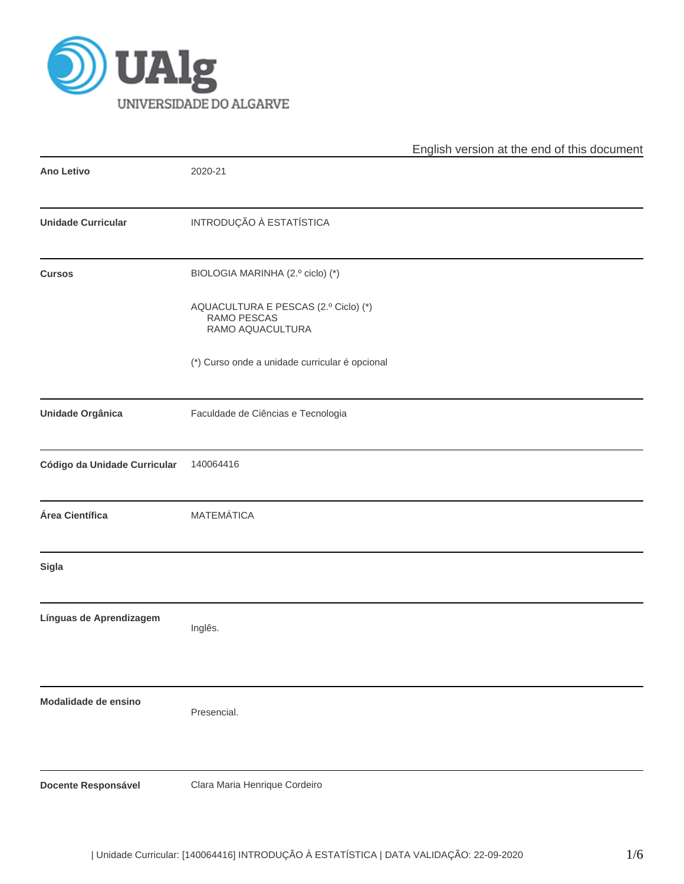

|                              |                                                                         | English version at the end of this document |
|------------------------------|-------------------------------------------------------------------------|---------------------------------------------|
| <b>Ano Letivo</b>            | 2020-21                                                                 |                                             |
| <b>Unidade Curricular</b>    | INTRODUÇÃO À ESTATÍSTICA                                                |                                             |
| <b>Cursos</b>                | BIOLOGIA MARINHA (2.º ciclo) (*)                                        |                                             |
|                              | AQUACULTURA E PESCAS (2.º Ciclo) (*)<br>RAMO PESCAS<br>RAMO AQUACULTURA |                                             |
|                              | (*) Curso onde a unidade curricular é opcional                          |                                             |
| <b>Unidade Orgânica</b>      | Faculdade de Ciências e Tecnologia                                      |                                             |
| Código da Unidade Curricular | 140064416                                                               |                                             |
| Área Científica              | <b>MATEMÁTICA</b>                                                       |                                             |
| Sigla                        |                                                                         |                                             |
| Línguas de Aprendizagem      | Inglês.                                                                 |                                             |
| Modalidade de ensino         | Presencial.                                                             |                                             |
| <b>Docente Responsável</b>   | Clara Maria Henrique Cordeiro                                           |                                             |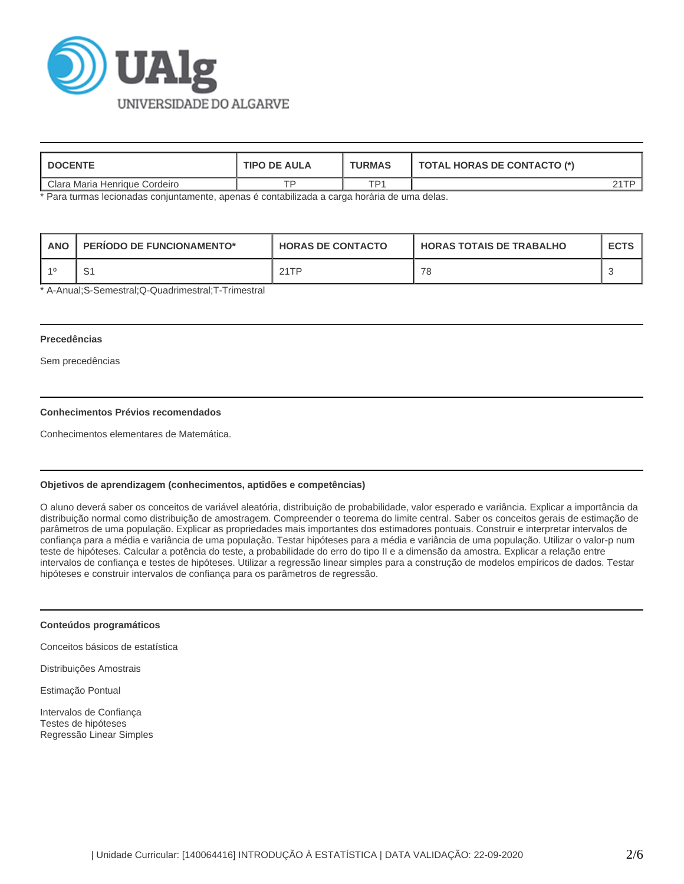

| <b>DOCENTE</b>                | <b>TIPO DE AULA</b> | <b>TURMAS</b> | <b>TOTAL HORAS DE CONTACTO (*)</b> |  |  |
|-------------------------------|---------------------|---------------|------------------------------------|--|--|
| Clara Maria Henrique Cordeiro |                     | TD1           |                                    |  |  |

\* Para turmas lecionadas conjuntamente, apenas é contabilizada a carga horária de uma delas.

| <b>ANO</b><br><b>PERIODO DE FUNCIONAMENTO*</b> |     | <b>HORAS DE CONTACTO</b> | <b>HORAS TOTAIS DE TRABALHO</b> | <b>ECTS</b> |
|------------------------------------------------|-----|--------------------------|---------------------------------|-------------|
|                                                | . ت | 21TP                     | 78                              |             |

\* A-Anual;S-Semestral;Q-Quadrimestral;T-Trimestral

### **Precedências**

Sem precedências

# **Conhecimentos Prévios recomendados**

Conhecimentos elementares de Matemática.

# **Objetivos de aprendizagem (conhecimentos, aptidões e competências)**

O aluno deverá saber os conceitos de variável aleatória, distribuição de probabilidade, valor esperado e variância. Explicar a importância da distribuição normal como distribuição de amostragem. Compreender o teorema do limite central. Saber os conceitos gerais de estimação de parâmetros de uma população. Explicar as propriedades mais importantes dos estimadores pontuais. Construir e interpretar intervalos de confiança para a média e variância de uma população. Testar hipóteses para a média e variância de uma população. Utilizar o valor-p num teste de hipóteses. Calcular a potência do teste, a probabilidade do erro do tipo II e a dimensão da amostra. Explicar a relação entre intervalos de confiança e testes de hipóteses. Utilizar a regressão linear simples para a construção de modelos empíricos de dados. Testar hipóteses e construir intervalos de confiança para os parâmetros de regressão.

#### **Conteúdos programáticos**

Conceitos básicos de estatística

Distribuições Amostrais

Estimação Pontual

Intervalos de Confiança Testes de hipóteses Regressão Linear Simples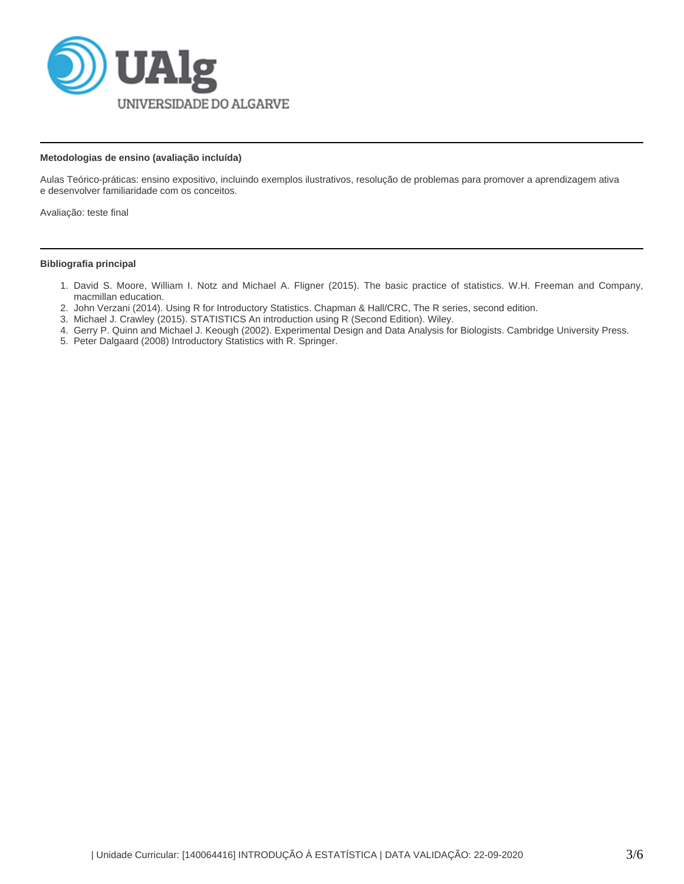

## **Metodologias de ensino (avaliação incluída)**

Aulas Teórico-práticas: ensino expositivo, incluindo exemplos ilustrativos, resolução de problemas para promover a aprendizagem ativa e desenvolver familiaridade com os conceitos.

Avaliação: teste final

# **Bibliografia principal**

- 1. David S. Moore, William I. Notz and Michael A. Fligner (2015). The basic practice of statistics. W.H. Freeman and Company, macmillan education.
- 2. John Verzani (2014). Using R for Introductory Statistics. Chapman & Hall/CRC, The R series, second edition.
- 3. Michael J. Crawley (2015). STATISTICS An introduction using R (Second Edition). Wiley.
- 4. Gerry P. Quinn and Michael J. Keough (2002). Experimental Design and Data Analysis for Biologists. Cambridge University Press.
- 5. Peter Dalgaard (2008) Introductory Statistics with R. Springer.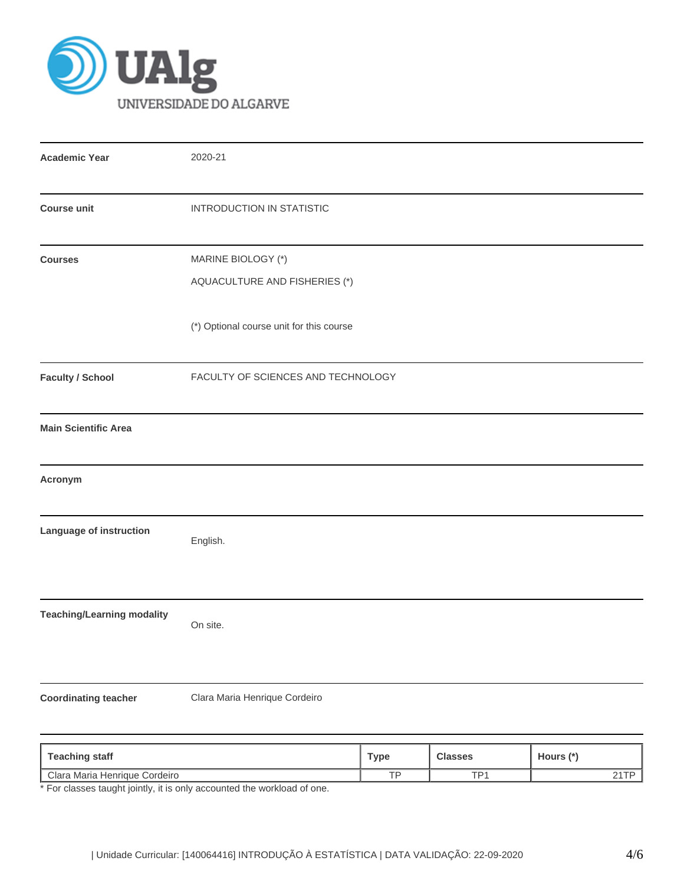

| <b>Academic Year</b>              | 2020-21                                             |
|-----------------------------------|-----------------------------------------------------|
| <b>Course unit</b>                | <b>INTRODUCTION IN STATISTIC</b>                    |
| <b>Courses</b>                    | MARINE BIOLOGY (*)<br>AQUACULTURE AND FISHERIES (*) |
|                                   | (*) Optional course unit for this course            |
| <b>Faculty / School</b>           | FACULTY OF SCIENCES AND TECHNOLOGY                  |
| <b>Main Scientific Area</b>       |                                                     |
| Acronym                           |                                                     |
| Language of instruction           | English.                                            |
| <b>Teaching/Learning modality</b> | On site.                                            |
| <b>Coordinating teacher</b>       | Clara Maria Henrique Cordeiro                       |
|                                   |                                                     |

| <b>Teaching staff</b>               | Туре | <b>Classes</b>  | Hours (*`                 |
|-------------------------------------|------|-----------------|---------------------------|
| Clara Maria<br>Cordeiro<br>Henrique | $-$  | TD <sub>1</sub> | - - <del>- -</del><br>- 1 |

\* For classes taught jointly, it is only accounted the workload of one.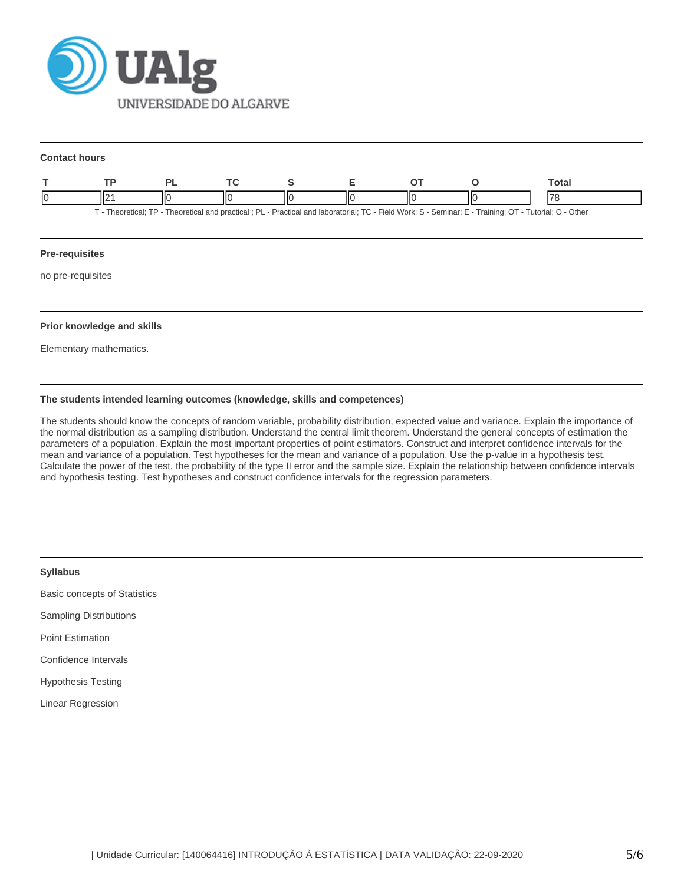

#### **Contact hours**

|  |  |   |                                                                                                                                                      | Total |
|--|--|---|------------------------------------------------------------------------------------------------------------------------------------------------------|-------|
|  |  | Ш |                                                                                                                                                      |       |
|  |  |   | - Theoretical: TP - Theoretical and practical: PL - Practical and laboratorial: TC - Field Work: S - Seminar: E - Training: OT - Tutorial: O - Other |       |

## **Pre-requisites**

no pre-requisites

## **Prior knowledge and skills**

Elementary mathematics.

# **The students intended learning outcomes (knowledge, skills and competences)**

The students should know the concepts of random variable, probability distribution, expected value and variance. Explain the importance of the normal distribution as a sampling distribution. Understand the central limit theorem. Understand the general concepts of estimation the parameters of a population. Explain the most important properties of point estimators. Construct and interpret confidence intervals for the mean and variance of a population. Test hypotheses for the mean and variance of a population. Use the p-value in a hypothesis test. Calculate the power of the test, the probability of the type II error and the sample size. Explain the relationship between confidence intervals and hypothesis testing. Test hypotheses and construct confidence intervals for the regression parameters.

| <b>Syllabus</b>                     |
|-------------------------------------|
| <b>Basic concepts of Statistics</b> |
| <b>Sampling Distributions</b>       |
| <b>Point Estimation</b>             |
| Confidence Intervals                |
| <b>Hypothesis Testing</b>           |
| Linear Regression                   |
|                                     |